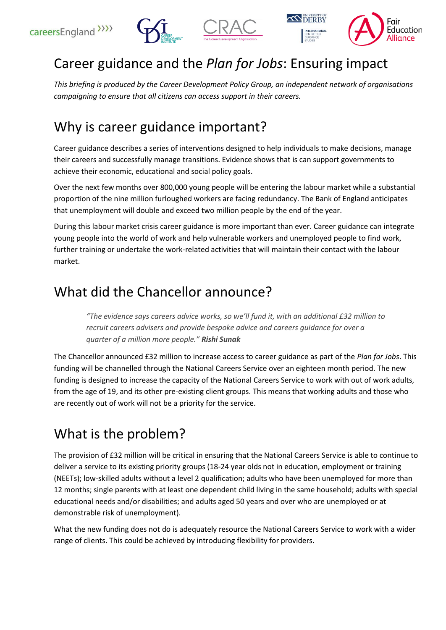





# Career guidance and the *Plan for Jobs*: Ensuring impact

*This briefing is produced by the Career Development Policy Group, an independent network of organisations campaigning to ensure that all citizens can access support in their careers.*

## Why is career guidance important?

Career guidance describes a series of interventions designed to help individuals to make decisions, manage their careers and successfully manage transitions. Evidence shows that is can support governments to achieve their economic, educational and social policy goals.

Over the next few months over 800,000 young people will be entering the labour market while a substantial proportion of the nine million furloughed workers are facing redundancy. The Bank of England anticipates that unemployment will double and exceed two million people by the end of the year.

During this labour market crisis career guidance is more important than ever. Career guidance can integrate young people into the world of work and help vulnerable workers and unemployed people to find work, further training or undertake the work-related activities that will maintain their contact with the labour market.

#### What did the Chancellor announce?

*"The evidence says careers advice works, so we'll fund it, with an additional £32 million to recruit careers advisers and provide bespoke advice and careers guidance for over a quarter of a million more people." Rishi Sunak*

The Chancellor announced £32 million to increase access to career guidance as part of the *Plan for Jobs*. This funding will be channelled through the National Careers Service over an eighteen month period. The new funding is designed to increase the capacity of the National Careers Service to work with out of work adults, from the age of 19, and its other pre-existing client groups. This means that working adults and those who are recently out of work will not be a priority for the service.

# What is the problem?

The provision of £32 million will be critical in ensuring that the National Careers Service is able to continue to deliver a service to its existing priority groups (18-24 year olds not in education, employment or training (NEETs); low-skilled adults without a level 2 qualification; adults who have been unemployed for more than 12 months; single parents with at least one dependent child living in the same household; adults with special educational needs and/or disabilities; and adults aged 50 years and over who are unemployed or at demonstrable risk of unemployment).

What the new funding does not do is adequately resource the National Careers Service to work with a wider range of clients. This could be achieved by introducing flexibility for providers.